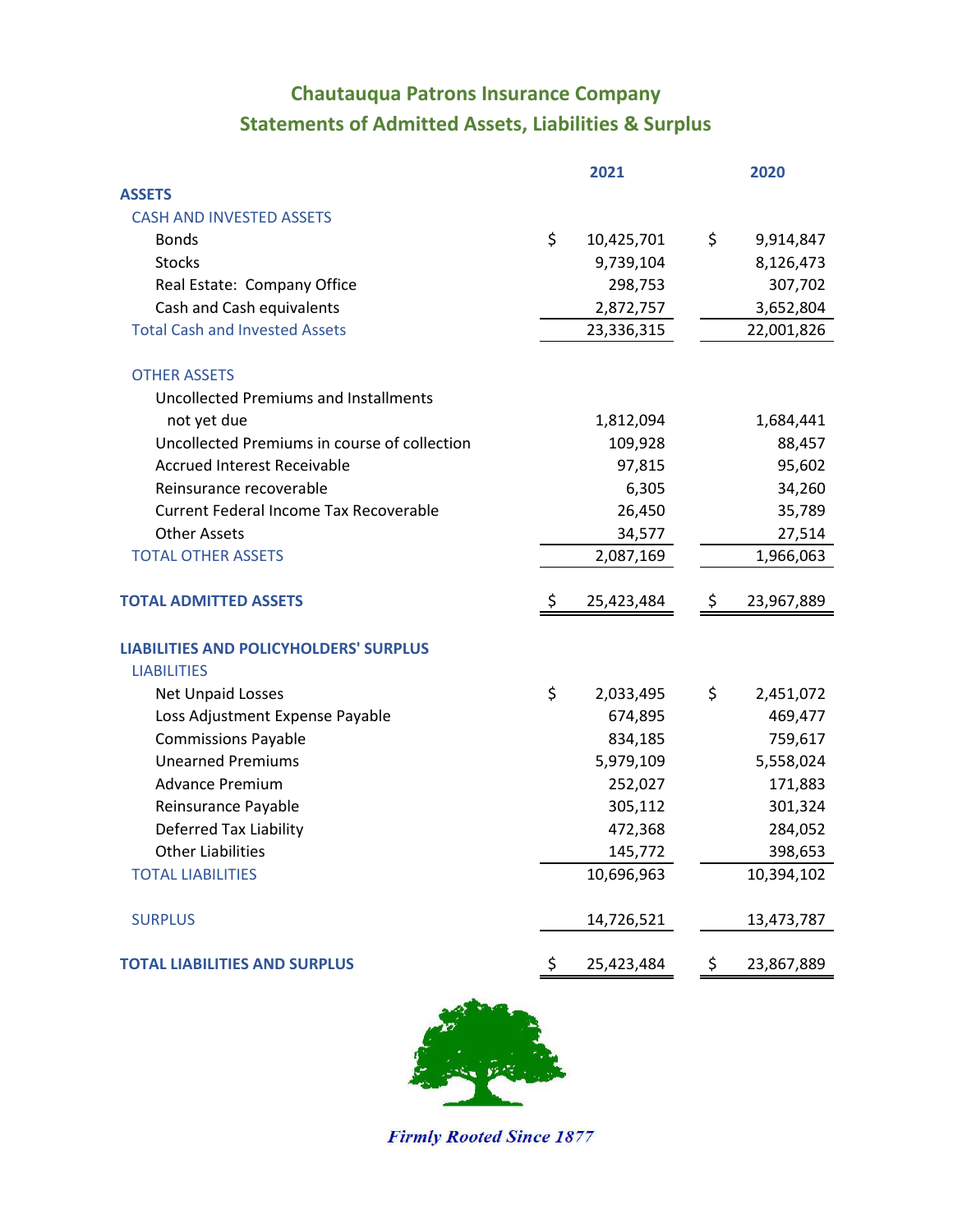## **Statements of Admitted Assets, Liabilities & Surplus Chautauqua Patrons Insurance Company**

|                                               | 2021             |               | 2020       |
|-----------------------------------------------|------------------|---------------|------------|
| <b>ASSETS</b>                                 |                  |               |            |
| <b>CASH AND INVESTED ASSETS</b>               |                  |               |            |
| <b>Bonds</b>                                  | \$<br>10,425,701 | \$            | 9,914,847  |
| <b>Stocks</b>                                 | 9,739,104        |               | 8,126,473  |
| Real Estate: Company Office                   | 298,753          |               | 307,702    |
| Cash and Cash equivalents                     | 2,872,757        |               | 3,652,804  |
| <b>Total Cash and Invested Assets</b>         | 23,336,315       |               | 22,001,826 |
| <b>OTHER ASSETS</b>                           |                  |               |            |
| <b>Uncollected Premiums and Installments</b>  |                  |               |            |
| not yet due                                   | 1,812,094        |               | 1,684,441  |
| Uncollected Premiums in course of collection  | 109,928          |               | 88,457     |
| <b>Accrued Interest Receivable</b>            | 97,815           |               | 95,602     |
| Reinsurance recoverable                       | 6,305            |               | 34,260     |
| Current Federal Income Tax Recoverable        | 26,450           |               | 35,789     |
| <b>Other Assets</b>                           | 34,577           |               | 27,514     |
| <b>TOTAL OTHER ASSETS</b>                     | 2,087,169        |               | 1,966,063  |
| <b>TOTAL ADMITTED ASSETS</b>                  | 25,423,484       | \$            | 23,967,889 |
| <b>LIABILITIES AND POLICYHOLDERS' SURPLUS</b> |                  |               |            |
| <b>LIABILITIES</b>                            |                  |               |            |
| <b>Net Unpaid Losses</b>                      | \$<br>2,033,495  | \$            | 2,451,072  |
| Loss Adjustment Expense Payable               | 674,895          |               | 469,477    |
| <b>Commissions Payable</b>                    | 834,185          |               | 759,617    |
| <b>Unearned Premiums</b>                      | 5,979,109        |               | 5,558,024  |
| <b>Advance Premium</b>                        | 252,027          |               | 171,883    |
| Reinsurance Payable                           | 305,112          |               | 301,324    |
| <b>Deferred Tax Liability</b>                 | 472,368          |               | 284,052    |
| <b>Other Liabilities</b>                      | 145,772          |               | 398,653    |
| <b>TOTAL LIABILITIES</b>                      | 10,696,963       |               | 10,394,102 |
| <b>SURPLUS</b>                                | 14,726,521       |               | 13,473,787 |
| <b>TOTAL LIABILITIES AND SURPLUS</b>          | \$<br>25,423,484 | $\ddot{\phi}$ | 23,867,889 |
|                                               |                  |               |            |



**Firmly Rooted Since 1877**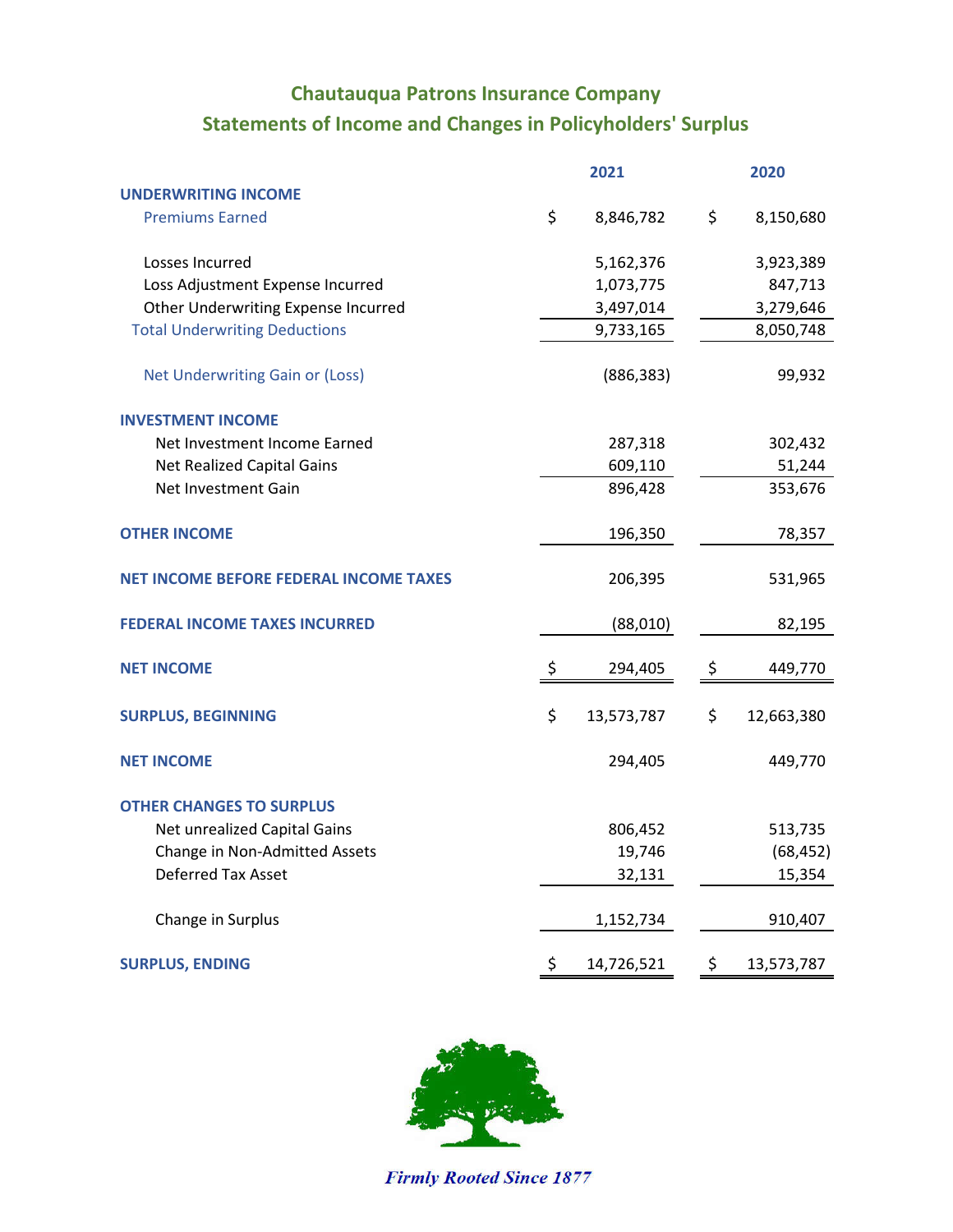## **Statements of Income and Changes in Policyholders' Surplus Chautauqua Patrons Insurance Company**

|                                               | 2021 |            | 2020 |            |  |
|-----------------------------------------------|------|------------|------|------------|--|
| <b>UNDERWRITING INCOME</b>                    |      |            |      |            |  |
| <b>Premiums Earned</b>                        | \$   | 8,846,782  | \$   | 8,150,680  |  |
| Losses Incurred                               |      | 5,162,376  |      | 3,923,389  |  |
| Loss Adjustment Expense Incurred              |      | 1,073,775  |      | 847,713    |  |
| Other Underwriting Expense Incurred           |      | 3,497,014  |      | 3,279,646  |  |
| <b>Total Underwriting Deductions</b>          |      | 9,733,165  |      | 8,050,748  |  |
| Net Underwriting Gain or (Loss)               |      | (886, 383) |      | 99,932     |  |
| <b>INVESTMENT INCOME</b>                      |      |            |      |            |  |
| Net Investment Income Earned                  |      | 287,318    |      | 302,432    |  |
| Net Realized Capital Gains                    |      | 609,110    |      | 51,244     |  |
| Net Investment Gain                           |      | 896,428    |      | 353,676    |  |
| <b>OTHER INCOME</b>                           |      | 196,350    |      | 78,357     |  |
| <b>NET INCOME BEFORE FEDERAL INCOME TAXES</b> |      | 206,395    |      | 531,965    |  |
| <b>FEDERAL INCOME TAXES INCURRED</b>          |      | (88,010)   |      | 82,195     |  |
| <b>NET INCOME</b>                             | \$   | 294,405    | \$   | 449,770    |  |
| <b>SURPLUS, BEGINNING</b>                     | \$   | 13,573,787 | \$   | 12,663,380 |  |
| <b>NET INCOME</b>                             |      | 294,405    |      | 449,770    |  |
| <b>OTHER CHANGES TO SURPLUS</b>               |      |            |      |            |  |
| Net unrealized Capital Gains                  |      | 806,452    |      | 513,735    |  |
| Change in Non-Admitted Assets                 |      | 19,746     |      | (68, 452)  |  |
| <b>Deferred Tax Asset</b>                     |      | 32,131     |      | 15,354     |  |
| Change in Surplus                             |      | 1,152,734  |      | 910,407    |  |
| <b>SURPLUS, ENDING</b>                        | \$   | 14,726,521 | \$   | 13,573,787 |  |



**Firmly Rooted Since 1877**